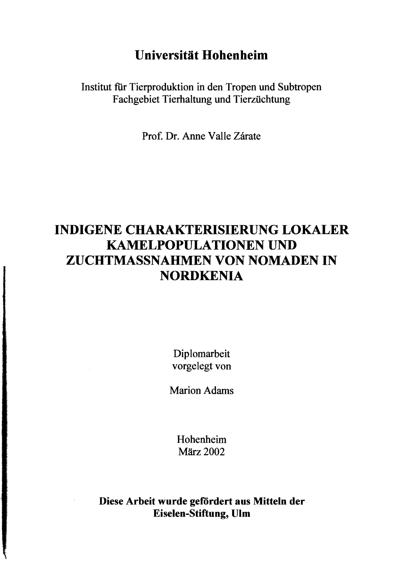## **Universität Hohenheim**

Institut für Tierproduktion in den Tropen **und** Subtropen Fachgebiet Tierhaltung **und** Tierzüchtung

Prof. Dr. Anne Valle Zärate

## **INDIGENE CHARAKTERISIERUNG LOKALER KAMELPOPULATIONEN UND ZUCHTMASSNAHMEN VON NOMADEN IN NORDKENIA**

Diplomarbeit vorgelegt von

Marion Adams

Hohenheim März 2002

**Diese Arbeit wurde gefördert aus Mitteln der Eiselen-Stiftung, Ulm**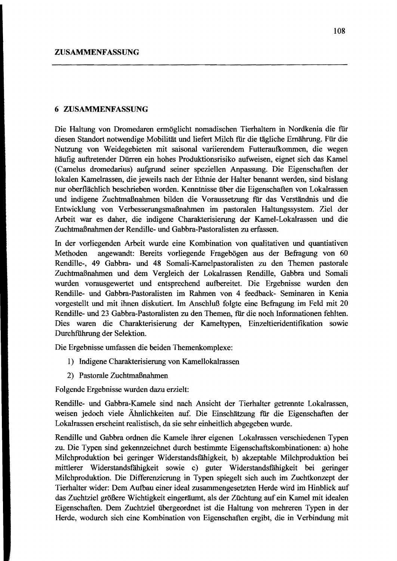Die Haltung von Dromedaren ermöglicht nomadischen Tierhaltern in Nordkenia die fiir diesen Standort notwendige Mobilität und liefert Milch fiir die tägliche Ernährung. Für die Nutzung von Weidegebieten mit saisonal variierendem Futteraufkommen, die wegen häufig auftretender Dürren ein hohes Produktionsrisiko aufweisen, eignet sich das Kamel (Camelus dromedarius) aufgrund seiner speziellen Anpassung. Die Eigenschaften der lokalen Kamelrassen, die jeweils nach der Ethnie der Halter benannt werden, sind bislang nur oberflächlich beschrieben worden. Kenntnisse über die Eigenschaften von Lokalrassen und indigene Zuchtmaßnahmen bilden die Voraussetzung fiir das Verständnis und die Entwicklung von Verbesserungsmaßnahmen im pastoralen Haltungssystem. Ziel der Arbeit war es daher, die indigene Charakterisierung der Kamel-Lokalrassen und die Zuchtmaßnahmen der Rendille- und Gabbra-Pastoralisten zu erfassen.

In der vorliegenden Arbeit wurde eine Kombination von qualitativen und quantiativen Methoden angewandt: Bereits vorliegende Fragebögen aus der Befragung von 60 Rendille-, 49 Gabbra- und 48 Somali-Kamelpastoralisten zu den Themen pastorale Zuchtmaßnahmen und dem Vergleich der Lokalrassen Rendille, Gabbra und Somali wurden vorausgewertet und entsprechend aufbereitet. Die Ergebnisse wurden den Rendille- und Gabbra-Pastoralisten im Rahmen von 4 feedback- Seminaren in Kenia vorgestellt und mit ihnen diskutiert. Im Anschluß folgte eine Befragung im Feld mit 20 Rendille- und 23 Gabbra-Pastoralisten zu den Themen, fiir die noch Informationen fehlten. Dies waren die Charakterisierung der Kameltypen, Einzeltieridentiftkation sowie Durchführung der Selektion.

Die Ergebnisse umfassen die beiden Themenkomplexe:

- I) Indigene Charakterisierung von Kamellokalrassen
- 2) Pastorale Zuchtmaßnahmen

Folgende Ergebnisse wurden dazu erzielt:

Rendille- und Gabbra-Kamele sind nach Ansicht der Tierhalter getrennte Lokalrassen, weisen jedoch viele Ähnlichkeiten auf. Die Einschätzung fiir die Eigenschaften der Lokalrassen erscheint realistisch, da sie sehr einheitlich abgegeben wurde.

Rendille und Gabbra ordnen die Kamele ihrer eigenen Lokalrassen verschiedenen Typen zu. Die Typen sind gekennzeichnet durch bestimmte Eigenschaftskombinationen: a) hohe Milchproduktion bei geringer Widerstandsfiihigkeit, b) akzeptable Milchproduktion bei mittlerer Widerstandsfahigkeit sowie c) guter Widerstandsfähigkeit bei geringer Milchproduktion. Die Differenzierung in Typen spiegelt sich auch im Zuchtkonzept der Tierhalter wider: Dem Aufbau einer ideal zusammengesetzten Herde wird im Hinblick auf das Zuchtziel größere Wichtigkeit eingeräumt, als der Züchtung auf ein Kamel mit idealen Eigenschaften. Dem Zuchtziel übergeordnet ist die Haltung von mehreren Typen in der Herde, wodurch sich eine Kombination von Eigenschaften ergibt, die in Verbindung mit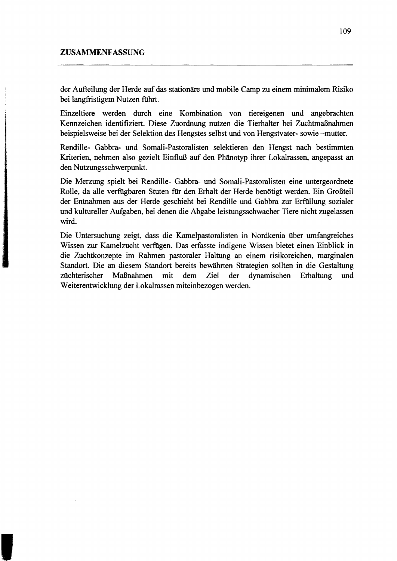der Aufteilung der Herde auf das stationäre und mobile Camp zu einem minimalem Risiko bei langfristigem Nutzen führt.

Einzeltiere werden durch eine Kombination von tiereigenen und angebrachten Kennzeichen identifiziert. Diese Zuordnung nutzen die Tierhalter bei Zuchtmaßnahmen beispielsweise bei der Selektion des Hengstes selbst und von Hengstvater· sowie -mutter.

Rendille- Gabbra- und Somali-Pastoralisten selektieren den Hengst nach bestimmten Kriterien, nehmen also gezielt Einfluß auf den Phänotyp ihrer Lokalrassen, angepasst an den Nutzungsschwerpunkt.

Die Merzung spielt bei Rendille- Gabbra- und Somali-Pastoralisten eine untergeordnete Rolle, da alle verfügbaren Stuten für den Erhalt der Herde benötigt werden. Ein Großteil der Entnahmen aus der Herde geschieht bei Rendille und Gabbra zur Erfiillung sozialer und kultureller Aufgaben, bei denen die Abgabe leistungs schwacher Tiere nicht zugelassen wird.

Die Untersuchung zeigt, dass die Kamelpastoralisten in Nordkenia über umfangreiches Wissen zur Kamelzucht verfügen. Das erfasste indigene Wissen bietet einen Einblick in die Zuchtkonzepte im Rahmen pastoraler Haltung an einem risikoreichen, marginalen Standort. Die an diesem Standort bereits bewährten Strategien sollten in die Gestaltung züchterischer Maßnahmen mit dem Ziel der dynamischen Erhaltung und Weiterentwicklung der Lokalrassen miteinbezogen werden.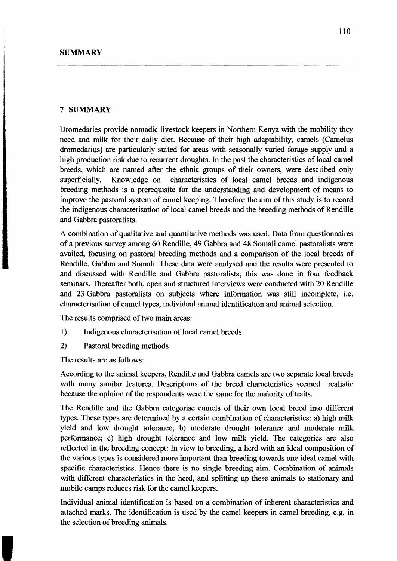## 7 **SUMMARY**

Dromedaries provide nomadic livestock keepers in Northem Kenya with the mobility they need and milk for their daily diet. Because of their high adaptability, camels (Camelus dromedarius) are particularly suited for areas with seasonally varied forage supply and a high production risk due to recurrent droughts. In the past the characteristics of local camel breeds, which are named after the ethnic groups of their owners, were described only superficially. Knowledge on characteristics of local camel breeds and indigenous breeding methods is a prerequisite for the understanding and development of means to improve the pastoral system of camel keeping. Therefore the aim of this study is to record the indigenous characterisation of local camel breeds and the breeding methods of Rendille and Gabbra pastoralists.

A combination of qualitative and quantitative methods was used: Data from questionnaires of a previous survey among 60 Rendille, 49 Gabbra and 48 Somali camel pastoralists were availed, focusing on pastoral breeding methods and a comparison of the local breeds of Rendille, Gabbra and Somali. These data were analysed and the results were presented to and discussed with Rendille and Gabbra pastoralists; this was done in four feedback seminars. Thereafter both, open and structured interviews were conducted with 20 Rendille and 23 Gabbra pastoralists on subjects where information was still incomplete, i.e. characterisation of camel types, individual animal identification and animal selection.

The results comprised of two main areas:

- 1) Indigenous characterisation of local camel breeds
- 2) Pastoral breeding methods

The results are as follows:

According to the animal keepers, Rendille and Gabbra camels are two separate local breeds with many similar features. Descriptions of the breed characteristics seemed realistic because the opinion of the respondents were the same for the majority of traits.

The Rendille and the Gabbra categorise camels of their own local breed into different types. These types are determined by a certain combination of characteristics: a) high milk yield and low drought tolerance; b) moderate drought tolerance and moderate milk performance; c) high drought tolerance and low milk yie1d. The categories are also reflected in the breeding concept: In view to breeding, a herd with an ideal composition of the various types is considered more important than breeding towards one ideal camel with specific characteristics. Hence there is no single breeding aim. Combination of animals with different characteristics in the herd, and splitting up these animals to stationary and mobile camps reduces risk for the camel keepers.

Individual animal identification is based on a combination of inherent characteristics and attached marks. The identification is used by the camel keepers in came1 breeding, e.g. in the selection of breeding animals.